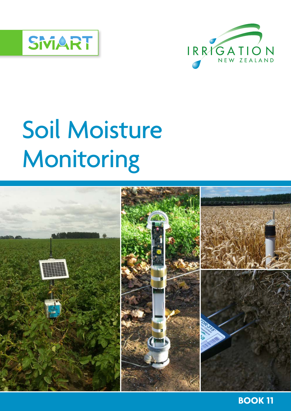



# Soil Moisture Monitoring



**BOOK 11**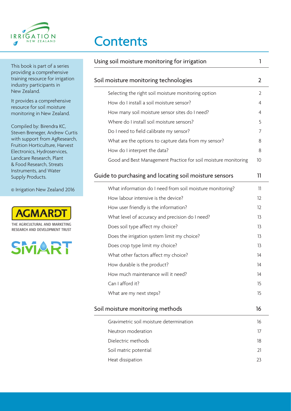

**Contents** 

|      | Using soil moisture monitoring for irrigation                  | 1                 |
|------|----------------------------------------------------------------|-------------------|
| 'n   | Soil moisture monitoring technologies                          | $\overline{2}$    |
|      | Selecting the right soil moisture monitoring option            | 2                 |
|      | How do I install a soil moisture sensor?                       | $\overline{4}$    |
|      | How many soil moisture sensor sites do I need?                 | 4                 |
|      | Where do I install soil moisture sensors?                      | 5                 |
| rtis | Do I need to field calibrate my sensor?                        | 7                 |
| ch,  | What are the options to capture data from my sensor?           | 8                 |
| it,  | How do I interpret the data?                                   | 8                 |
|      | Good and Best Management Practice for soil moisture monitoring | 10                |
|      | Guide to purchasing and locating soil moisture sensors         | 11                |
| 16   | What information do I need from soil moisture monitoring?      | 11                |
|      | How labour intensive is the device?                            | $12 \overline{ }$ |
|      | How user friendly is the information?                          | 12                |
|      | What level of accuracy and precision do I need?                | 13                |
|      | Does soil type affect my choice?                               | 13                |
|      | Does the irrigation system limit my choice?                    | 13                |
|      | Does crop type limit my choice?                                | 13                |
|      | What other factors affect my choice?                           | 14                |
|      | How durable is the product?                                    | 14                |
|      | How much maintenance will it need?                             | 14                |
|      | Can I afford it?                                               | 15                |
|      | What are my next steps?                                        | 15                |
|      | Soil moisture monitoring methods                               | 16                |
|      | Gravimetric soil moisture determination                        | 16                |
|      | Neutron moderation                                             | 17                |
|      | Dielectric methods                                             | 18                |
|      | Soil matric potential                                          | 21                |
|      | Heat dissipation                                               | 23                |
|      |                                                                |                   |

This book is part of a series providing a comprehensive training resource for irrigatic industry participants in New Zealand.

It provides a comprehensive resource for soil moisture monitoring in New Zealand.

Compiled by: Birendra KC, Steven Breneger, Andrew Cu with support from AgResear Fruition Horticulture, Harves Electronics, Hydroservices, Landcare Research, Plant & Food Research, Streats Instruments, and Water Supply Products.

© Irrigation New Zealand 2016



RESEARCH AND DEVELOPMENT TRUST

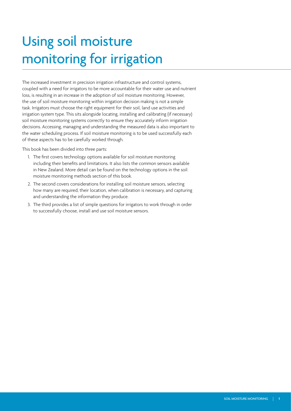## Using soil moisture monitoring for irrigation

The increased investment in precision irrigation infrastructure and control systems, coupled with a need for irrigators to be more accountable for their water use and nutrient loss, is resulting in an increase in the adoption of soil moisture monitoring. However, the use of soil moisture monitoring within irrigation decision making is not a simple task. Irrigators must choose the right equipment for their soil, land use activities and irrigation system type. This sits alongside locating, installing and calibrating (if necessary) soil moisture monitoring systems correctly to ensure they accurately inform irrigation decisions. Accessing, managing and understanding the measured data is also important to the water scheduling process. If soil moisture monitoring is to be used successfully each of these aspects has to be carefully worked through.

This book has been divided into three parts:

- 1. The first covers technology options available for soil moisture monitoring including their benefits and limitations. It also lists the common sensors available in New Zealand. More detail can be found on the technology options in the soil moisture monitoring methods section of this book.
- 2. The second covers considerations for installing soil moisture sensors, selecting how many are required, their location, when calibration is necessary, and capturing and understanding the information they produce.
- 3. The third provides a list of simple questions for irrigators to work through in order to successfully choose, install and use soil moisture sensors.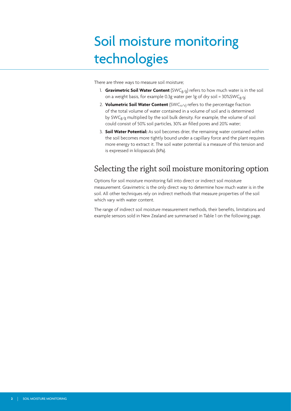## Soil moisture monitoring technologies

There are three ways to measure soil moisture;

- 1. **Gravimetric Soil Water Content** (SWCg/g) refers to how much water is in the soil on a weight basis, for example 0.3g water per 1g of dry soil =  $30\%$ SWC<sub>g/g</sub>;
- 2. **Volumetric Soil Water Content** (SWC<sub>V/V</sub>) refers to the percentage fraction of the total volume of water contained in a volume of soil and is determined by SWC<sub>g/g</sub> multiplied by the soil bulk density. For example, the volume of soil could consist of 50% soil particles, 30% air filled pores and 20% water;
- 3. **Soil Water Potential:** As soil becomes drier, the remaining water contained within the soil becomes more tightly bound under a capillary force and the plant requires more energy to extract it. The soil water potential is a measure of this tension and is expressed in kilopascals (kPa).

## Selecting the right soil moisture monitoring option

Options for soil moisture monitoring fall into direct or indirect soil moisture measurement. Gravimetric is the only direct way to determine how much water is in the soil. All other techniques rely on indirect methods that measure properties of the soil which vary with water content.

The range of indirect soil moisture measurement methods, their benefits, limitations and example sensors sold in New Zealand are summarised in Table 1 on the following page.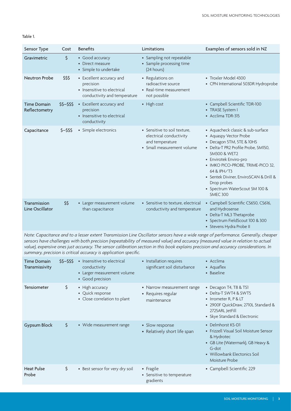#### Table 1.

| Sensor Type                         | Cost         | <b>Benefits</b>                                                                                      | Limitations                                                                                              | Examples of sensors sold in NZ                                                                                                                                                                                                                                                                                                                         |
|-------------------------------------|--------------|------------------------------------------------------------------------------------------------------|----------------------------------------------------------------------------------------------------------|--------------------------------------------------------------------------------------------------------------------------------------------------------------------------------------------------------------------------------------------------------------------------------------------------------------------------------------------------------|
| Gravimetric                         | \$           | • Good accuracy<br>• Direct measure<br>• Simple to undertake                                         | • Sampling not repeatable<br>• Sample processing time<br>(24 hours)                                      |                                                                                                                                                                                                                                                                                                                                                        |
| Neutron Probe                       | \$\$\$       | • Excellent accuracy and<br>precision<br>• Insensitive to electrical<br>conductivity and temperature | • Regulations on<br>radioactive source<br>• Real-time measurement<br>not possible                        | • Troxler Model 4300<br>• CPN International 503DR Hydroprobe                                                                                                                                                                                                                                                                                           |
| <b>Time Domain</b><br>Reflectometry | $$5 - $55$   | • Excellent accuracy and<br>precision<br>• Insensitive to electrical<br>conductivity                 | • High cost                                                                                              | • Campbell Scientific TDR-100<br>• TRASE System I<br>• Acclima TDR-315                                                                                                                                                                                                                                                                                 |
| Capacitance                         | $$ - $$ \$\$ | • Simple electronics                                                                                 | • Sensitive to soil texture,<br>electrical conductivity<br>and temperature<br>• Small measurement volume | • Aquacheck classic & sub-surface<br>• Aquaspy Vector Probe<br>• Decagon 5TM, 5TE & 10HS<br>• Delta-T PR2 Profile Probe, SM150,<br><b>SM300 &amp; WET2</b><br>• Envirotek Enviro-pro<br>• IMKO PICO-PROBE, TRIME-PICO 32,<br>64 & IPH/T3<br>• Sentek Diviner, EnviroSCAN & Drill &<br>Drop probes<br>• Spectrum WaterScout SM 100 &<br><b>SMEC 300</b> |
| Transmission<br>Line Oscillator     | \$\$         | • Larger measurement volume<br>than capacitance                                                      | • Sensitive to texture, electrical<br>conductivity and temperature                                       | • Campbell Scientific CS650, CS616,<br>and Hydrosense<br>• Delta-T ML3 Thetaprobe<br>• Spectrum FieldScout 100 & 300<br>• Stevens Hydra Probe II                                                                                                                                                                                                       |

*Note: Capacitance and to a lesser extent Transmission Line Oscillator sensors have a wide range of performance. Generally, cheaper sensors have challenges with both precision (repeatability of measured value) and accuracy (measured value in relation to actual value), expensive ones just accuracy. The sensor calibration section in this book explains precision and accuracy considerations. In summary, precision is critical accuracy is application specific.*

| <b>Time Domain</b><br>Transmissivity | $$5 - $55$ | • Insensitive to electrical<br>conductivity<br>• Larger measurement volume<br>• Good precision | • Installation requires<br>significant soil disturbance         | • Acclima<br>• Aquaflex<br>• Baseline                                                                                                                                     |
|--------------------------------------|------------|------------------------------------------------------------------------------------------------|-----------------------------------------------------------------|---------------------------------------------------------------------------------------------------------------------------------------------------------------------------|
| <b>Tensiometer</b>                   | \$         | • High accuracy<br>• Quick response<br>• Close correlation to plant                            | • Narrow measurement range<br>• Requires regular<br>maintenance | • Decagon T4, T8 & TS1<br>• Delta-T SWT4 & SWT5<br>• Irrometer R, P & LT<br>• 2900F QuickDraw, 2710L Standard &<br>2725ARL JetFill<br>• Skye Standard & Electronic        |
| <b>Gypsum Block</b>                  | \$         | • Wide measurement range                                                                       | • Slow response<br>• Relatively short life span                 | • Delmhorst KS-D1<br>• Frizzell Visual Soil Moisture Sensor<br>& Hydrotec<br>• GB Lite (Watermark), GB Heavy &<br>G-dot<br>• Willowbank Electonics Soil<br>Moisture Probe |
| <b>Heat Pulse</b><br>Probe           | \$         | • Best sensor for very dry soil                                                                | • Fragile<br>• Sensitive to temperature<br>gradients            | • Campbell Scientific 229                                                                                                                                                 |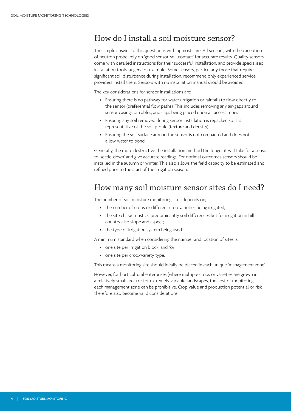## How do I install a soil moisture sensor?

The simple answer to this question is with upmost care. All sensors, with the exception of neutron probe, rely on 'good sensor-soil contact' for accurate results. Quality sensors come with detailed instructions for their successful installation, and provide specialised installation tools, augers for example. Some sensors, particularly those that require significant soil disturbance during installation, recommend only experienced service providers install them. Sensors with no installation manual should be avoided.

The key considerations for sensor installations are:

- Ensuring there is no pathway for water (irrigation or rainfall) to flow directly to the sensor (preferential flow paths). This includes removing any air-gaps around sensor casings or cables, and caps being placed upon all access tubes
- Ensuring any soil removed during sensor installation is repacked so it is representative of the soil profile (texture and density)
- Ensuring the soil surface around the sensor is not compacted and does not allow water to pond.

Generally, the more destructive the installation method the longer it will take for a sensor to 'settle-down' and give accurate readings. For optimal outcomes sensors should be installed in the autumn or winter. This also allows the field capacity to be estimated and refined prior to the start of the irrigation season.

## How many soil moisture sensor sites do I need?

The number of soil moisture monitoring sites depends on;

- the number of crops or different crop varieties being irrigated;
- the site characteristics, predominantly soil differences but for irrigation in hill country also slope and aspect;
- the type of irrigation system being used.

A minimum standard when considering the number and location of sites is;

- one site per irrigation block; and/or
- one site per crop/variety type.

This means a monitoring site should ideally be placed in each unique 'management zone'.

However, for horticultural enterprises (where multiple crops or varieties are grown in a relatively small area) or for extremely variable landscapes, the cost of monitoring each management zone can be prohibitive. Crop value and production potential or risk therefore also become valid considerations.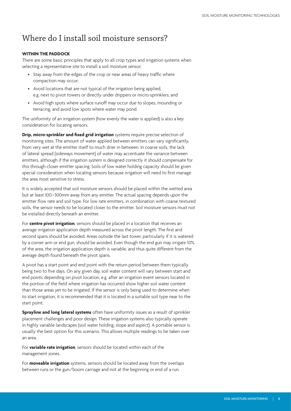### Where do I install soil moisture sensors?

#### **WITHIN THE PADDOCK**

There are some basic principles that apply to all crop types and irrigation systems when selecting a representative site to install a soil moisture sensor;

- Stay away from the edges of the crop or near areas of heavy traffic where compaction may occur;
- Avoid locations that are not typical of the irrigation being applied, e.g. next to pivot towers or directly under drippers or micro-sprinklers; and
- Avoid high spots where surface runoff may occur due to slopes, mounding or terracing, and avoid low spots where water may pond.

The uniformity of an irrigation system (how evenly the water is applied) is also a key consideration for locating sensors.

**Drip, micro-sprinkler and fixed grid irrigation** systems require precise selection of monitoring sites. The amount of water applied between emitters can vary significantly, from very wet at the emitter itself to much drier in between. In coarse soils, the lack of lateral spread (sideways movement) of water may accentuate the variance between emitters, although if the irrigation system is designed correctly it should compensate for this through closer emitter spacing. Soils of low water holding capacity should be given special consideration when locating sensors because irrigation will need to first manage the area most sensitive to stress.

It is widely accepted that soil moisture sensors should be placed within the wetted area but at least 100–300mm away from any emitter. The actual spacing depends upon the emitter flow rate and soil type. For low rate emitters, in combination with coarse textured soils, the sensor needs to be located closer to the emitter. Soil moisture sensors must not be installed directly beneath an emitter.

For **centre pivot irrigation**, sensors should be placed in a location that receives an average irrigation application depth measured across the pivot length. The first and second spans should be avoided. Areas outside the last tower, particularly if it is watered by a corner arm or end gun, should be avoided. Even though the end gun may irrigate 10% of the area, the irrigation application depth is variable, and thus quite different from the average depth found beneath the pivot spans.

A pivot has a start point and end point with the return period between them typically being two to five days. On any given day, soil water content will vary between start and end points depending on pivot location, e.g. after an irrigation event sensors located in the portion of the field where irrigation has occurred show higher soil water content than those areas yet to be irrigated. If the sensor is only being used to determine when to start irrigation, it is recommended that it is located in a suitable soil type near to the start point.

**Sprayline and long lateral systems** often have uniformity issues as a result of sprinkler placement challenges and poor design. These irrigation systems also typically operate in highly variable landscapes (soil water holding, slope and aspect). A portable sensor is usually the best option for this scenario. This allows multiple readings to be taken over an area.

For **variable rate irrigation**, sensors should be located within each of the management zones.

For **moveable irrigation** systems, sensors should be located away from the overlaps between runs or the gun/boom carriage and not at the beginning or end of a run.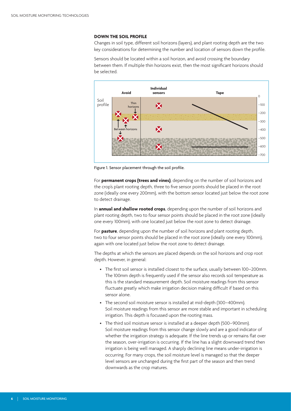#### **DOWN THE SOIL PROFILE**

Changes in soil type, different soil horizons (layers), and plant rooting depth are the two key considerations for determining the number and location of sensors down the profile.

Sensors should be located within a soil horizon, and avoid crossing the boundary between them. If multiple thin horizons exist, then the most significant horizons should be selected.



Figure 1. Sensor placement through the soil profile.

For **permanent crops (trees and vines)**, depending on the number of soil horizons and the crop's plant rooting depth, three to five sensor points should be placed in the root zone (ideally one every 200mm), with the bottom sensor located just below the root zone to detect drainage.

In **annual and shallow rooted crops**, depending upon the number of soil horizons and plant rooting depth, two to four sensor points should be placed in the root zone (ideally one every 100mm), with one located just below the root zone to detect drainage.

For **pasture**, depending upon the number of soil horizons and plant rooting depth, two to four sensor points should be placed in the root zone (ideally one every 100mm), again with one located just below the root zone to detect drainage.

The depths at which the sensors are placed depends on the soil horizons and crop root depth. However, in general:

- The first soil sensor is installed closest to the surface, usually between 100–200mm. The 100mm depth is frequently used if the sensor also records soil temperature as this is the standard measurement depth. Soil moisture readings from this sensor fluctuate greatly which make irrigation decision making difficult if based on this sensor alone.
- The second soil moisture sensor is installed at mid-depth (300–400mm). Soil moisture readings from this sensor are more stable and important in scheduling irrigation. This depth is focussed upon the rooting mass.
- The third soil moisture sensor is installed at a deeper depth (500–900mm). Soil moisture readings from this sensor change slowly and are a good indicator of whether the irrigation strategy is adequate. If the line trends up or remains flat over the season, over-irrigation is occurring. If the line has a slight downward trend then irrigation is being well managed. A sharply declining line means under-irrigation is occurring. For many crops, the soil moisture level is managed so that the deeper level sensors are unchanged during the first part of the season and then trend downwards as the crop matures.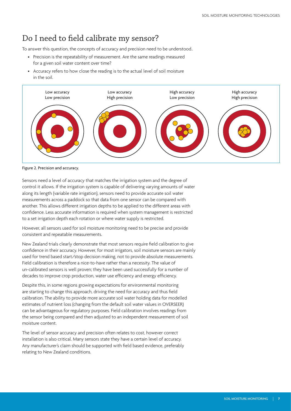## Do I need to field calibrate my sensor?

To answer this question, the concepts of accuracy and precision need to be understood..

- Precision is the repeatability of measurement. Are the same readings measured for a given soil water content over time?
- Accuracy refers to how close the reading is to the actual level of soil moisture in the soil.



Figure 2. Precision and accuracy.

Sensors need a level of accuracy that matches the irrigation system and the degree of control it allows. If the irrigation system is capable of delivering varying amounts of water along its length (variable rate irrigation), sensors need to provide accurate soil water measurements across a paddock so that data from one sensor can be compared with another. This allows different irrigation depths to be applied to the different areas with confidence. Less accurate information is required when system management is restricted to a set irrigation depth each rotation or where water supply is restricted.

However, all sensors used for soil moisture monitoring need to be precise and provide consistent and repeatable measurements.

New Zealand trials clearly demonstrate that most sensors require field calibration to give confidence in their accuracy. However, for most irrigators, soil moisture sensors are mainly used for trend based start/stop decision making, not to provide absolute measurements. Field calibration is therefore a nice-to-have rather than a necessity. The value of un-calibrated sensors is well proven; they have been used successfully for a number of decades to improve crop production, water use efficiency and energy efficiency.

Despite this, in some regions growing expectations for environmental monitoring are starting to change this approach, driving the need for accuracy and thus field calibration. The ability to provide more accurate soil water holding data for modelled estimates of nutrient loss (changing from the default soil water values in OVERSEER) can be advantageous for regulatory purposes. Field calibration involves readings from the sensor being compared and then adjusted to an independent measurement of soil moisture content.

The level of sensor accuracy and precision often relates to cost, however correct installation is also critical. Many sensors state they have a certain level of accuracy. Any manufacturer's claim should be supported with field based evidence, preferably relating to New Zealand conditions.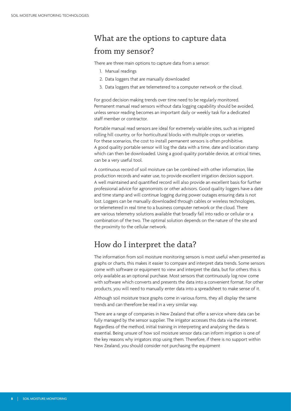## What are the options to capture data from my sensor?

There are three main options to capture data from a sensor:

- 1. Manual readings
- 2. Data loggers that are manually downloaded
- 3. Data loggers that are telemetered to a computer network or the cloud.

For good decision making trends over time need to be regularly monitored. Permanent manual read sensors without data logging capability should be avoided, unless sensor reading becomes an important daily or weekly task for a dedicated staff member or contractor.

Portable manual read sensors are ideal for extremely variable sites, such as irrigated rolling hill country, or for horticultural blocks with multiple crops or varieties. For these scenarios, the cost to install permanent sensors is often prohibitive. A good quality portable sensor will log the data with a time, date and location stamp which can then be downloaded. Using a good quality portable device, at critical times, can be a very useful tool.

A continuous record of soil moisture can be combined with other information, like production records and water use, to provide excellent irrigation decision support. A well maintained and quantified record will also provide an excellent basis for further professional advice for agronomists or other advisors. Good quality loggers have a date and time stamp and will continue logging during power outages ensuring data is not lost. Loggers can be manually downloaded through cables or wireless technologies, or telemetered in real time to a business computer network or the cloud. There are various telemetry solutions available that broadly fall into radio or cellular or a combination of the two. The optimal solution depends on the nature of the site and the proximity to the cellular network.

### How do I interpret the data?

The information from soil moisture monitoring sensors is most useful when presented as graphs or charts, this makes it easier to compare and interpret data trends. Some sensors come with software or equipment to view and interpret the data, but for others this is only available as an optional purchase. Most sensors that continuously log now come with software which converts and presents the data into a convenient format. For other products, you will need to manually enter data into a spreadsheet to make sense of it.

Although soil moisture trace graphs come in various forms, they all display the same trends and can therefore be read in a very similar way.

There are a range of companies in New Zealand that offer a service where data can be fully managed by the sensor supplier. The irrigator accesses this data via the internet. Regardless of the method, initial training in interpreting and analysing the data is essential. Being unsure of how soil moisture sensor data can inform irrigation is one of the key reasons why irrigators stop using them. Therefore, if there is no support within New Zealand, you should consider not purchasing the equipment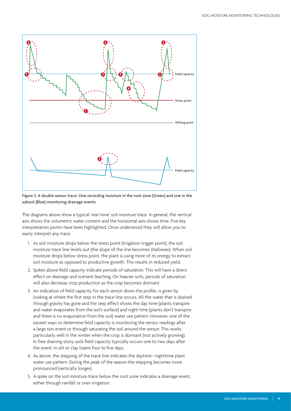

Figure 3. A double sensor trace. One recording moisture in the root zone (Green) and one in the subsoil (Blue) monitoring drainage events.

The diagrams above show a typical 'real-time' soil moisture trace. In general, the vertical axis shows the volumetric water content and the horizontal axis shows time. Five key interpretation points have been highlighted. Once understood they will allow you to easily interpret any trace.

- 1. As soil moisture drops below the stress point (irrigation trigger point), the soil moisture trace line levels out (the slope of the line becomes shallower). When soil moisture drops below stress point, the plant is using more of its energy to extract soil moisture as opposed to productive growth. This results in reduced yield.
- 2. Spikes above field capacity indicate periods of saturation. This will have a direct effect on drainage and nutrient leaching. On heavier soils, periods of saturation will also decrease crop production as the crop becomes dormant.
- 3. An indication of field capacity, for each sensor down the profile, is given by looking at where the first step in the trace line occurs. All the water that is drained through gravity has gone and the step effect shows the day time (plants transpire and water evaporates from the soil's surface) and night time (plants don't transpire and there is no evaporation from the soil) water use pattern. However, one of the easiest ways to determine field capacity is monitoring the sensor readings after a large rain event or through saturating the soil around the sensor. This works particularly well in the winter when the crop is dormant (not actively growing). In free draining stony soils field capacity typically occurs one to two days after the event, in silt or clay loams four to five days.
- 4. As above, the stepping of the trace line indicates the daytime–nighttime plant water use pattern. During the peak of the season the stepping becomes more pronounced (vertically longer).
- 5. A spike on the soil moisture trace below the root zone indicates a drainage event, either through rainfall or over-irrigation.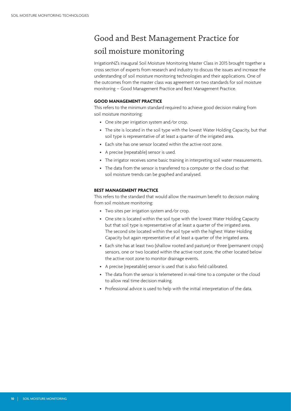## Good and Best Management Practice for soil moisture monitoring

IrrigationNZ's inaugural Soil Moisture Monitoring Master Class in 2015 brought together a cross section of experts from research and industry to discuss the issues and increase the understanding of soil moisture monitoring technologies and their applications. One of the outcomes from the master class was agreement on two standards for soil moisture monitoring – Good Management Practice and Best Management Practice.

#### **GOOD MANAGEMENT PRACTICE**

This refers to the minimum standard required to achieve good decision making from soil moisture monitoring:

- One site per irrigation system and/or crop.
- The site is located in the soil type with the lowest Water Holding Capacity, but that soil type is representative of at least a quarter of the irrigated area.
- Each site has one sensor located within the active root zone.
- A precise (repeatable) sensor is used.
- The irrigator receives some basic training in interpreting soil water measurements.
- The data from the sensor is transferred to a computer or the cloud so that soil moisture trends can be graphed and analysed.

#### **BEST MANAGEMENT PRACTICE**

This refers to the standard that would allow the maximum benefit to decision making from soil moisture monitoring:

- Two sites per irrigation system and/or crop.
- One site is located within the soil type with the lowest Water Holding Capacity but that soil type is representative of at least a quarter of the irrigated area. The second site located within the soil type with the highest Water Holding Capacity but again representative of at least a quarter of the irrigated area.
- Each site has at least two (shallow rooted and pasture) or three (permanent crops) sensors, one or two located within the active root zone, the other located below the active root zone to monitor drainage events.
- A precise (repeatable) sensor is used that is also field calibrated.
- The data from the sensor is telemetered in real-time to a computer or the cloud to allow real time decision making.
- Professional advice is used to help with the initial interpretation of the data.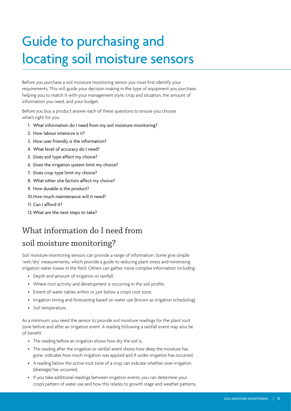## Guide to purchasing and locating soil moisture sensors

Before you purchase a soil moisture monitoring sensor you must first identify your requirements. This will guide your decision making in the type of equipment you purchase, helping you to match it with your management style, crop and situation, the amount of information you need, and your budget.

Before you buy a product answer each of these questions to ensure you choose what's right for you

- 1. What information do I need from my soil moisture monitoring?
- 2. How labour intensive is it?
- 3. How user friendly is the information?
- 4. What level of accuracy do I need?
- 5. Does soil type affect my choice?
- 6. Does the irrigation system limit my choice?
- 7. Does crop type limit my choice?
- 8. What other site factors affect my choice?
- 9. How durable is the product?
- 10.How much maintenance will it need?
- 11. Can I afford it?
- 12.What are the next steps to take?

## What information do I need from

### soil moisture monitoring?

Soil moisture monitoring sensors can provide a range of information. Some give simple 'wet/dry' measurements, which provide a guide to reducing plant stress and minimising irrigation water losses in the field. Others can gather more complex information including:

- Depth and amount of irrigation or rainfall,
- Where root activity and development is occurring in the soil profile,
- Extent of water tables within or just below a crop's root zone,
- Irrigation timing and forecasting based on water use (known as irrigation scheduling),
- Soil temperature.

As a minimum, you need the sensor to provide soil moisture readings for the plant root zone before and after an irrigation event. A reading following a rainfall event may also be of benefit.

- The reading before an irrigation shows how dry the soil is,
- The reading after the irrigation or rainfall event shows how deep the moisture has gone, indicates how much irrigation was applied and if under-irrigation has occurred,
- A reading below the active root zone of a crop can indicate whether over-irrigation (drainage) has occurred,
- If you take additional readings between irrigation events, you can determine your crop's pattern of water use and how this relates to growth stage and weather patterns.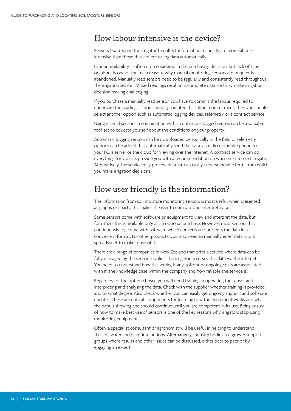## How labour intensive is the device?

Sensors that require the irrigator to collect information manually are more labourintensive than those that collect or log data automatically.

Labour availability is often not considered in the purchasing decision, but lack of time or labour is one of the main reasons why manual monitoring sensors are frequently abandoned. Manually read sensors need to be regularly and consistently read throughout the irrigation season. Missed readings result in incomplete data and may make irrigation decision making challenging.

If you purchase a manually read sensor, you have to commit the labour required to undertake the readings. If you cannot guarantee this labour commitment, then you should select another option such as automatic logging devices, telemetry or a contract service.

Using manual sensors in combination with a continuous logged sensor, can be a valuable tool set to educate yourself about the conditions on your property.

Automatic logging sensors can be downloaded periodically in the field or telemetry options can be added that automatically send the data via radio or mobile phone to your PC, a server or the cloud for viewing over the internet. A contract service can do everything for you, i.e. provide you with a recommendation on when next to next irrigate. Alternatively, the service may process data into an easily understandable form, from which you make irrigation decisions.

## How user friendly is the information?

The information from soil moisture monitoring sensors is most useful when presented as graphs or charts, this makes it easier to compare and interpret data.

Some sensors come with software or equipment to view and interpret the data, but for others this is available only as an optional purchase. However, most sensors that continuously log come with software which converts and presents the data in a convenient format. For other products, you may need to manually enter data into a spreadsheet to make sense of it.

There are a range of companies in New Zealand that offer a service where data can be fully managed by the sensor supplier. The irrigator accesses this data via the internet. You need to understand how this works, if any upfront or ongoing costs are associated with it, the knowledge base within the company and how reliable the service is.

Regardless of the option chosen you will need training in operating the sensor and interpreting and analysing the data. Check with the supplier whether training is provided, and to what degree. Also check whether you can easily get ongoing support and software updates. These are critical components for learning how the equipment works and what the data is showing and should continue until you are competent in its use. Being unsure of how to make best use of sensors is one of the key reasons why irrigators stop using monitoring equipment.

Often, a specialist consultant or agronomist will be useful in helping to understand the soil, water and plant interactions. Alternatively, industry bodies run grower support groups where results and other issues can be discussed, either peer to peer or by engaging an expert.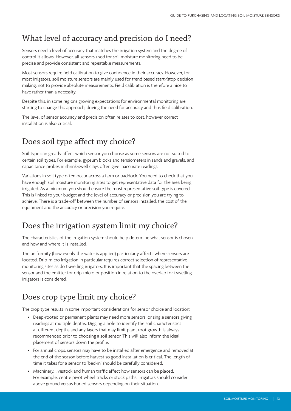## What level of accuracy and precision do I need?

Sensors need a level of accuracy that matches the irrigation system and the degree of control it allows. However, all sensors used for soil moisture monitoring need to be precise and provide consistent and repeatable measurements.

Most sensors require field calibration to give confidence in their accuracy. However, for most irrigators, soil moisture sensors are mainly used for trend based start/stop decision making, not to provide absolute measurements. Field calibration is therefore a nice to have rather than a necessity.

Despite this, in some regions growing expectations for environmental monitoring are starting to change this approach, driving the need for accuracy and thus field calibration.

The level of sensor accuracy and precision often relates to cost, however correct installation is also critical.

## Does soil type affect my choice?

Soil type can greatly affect which sensor you choose as some sensors are not suited to certain soil types. For example, gypsum blocks and tensiometers in sands and gravels, and capacitance probes in shrink-swell clays often give inaccurate readings.

Variations in soil type often occur across a farm or paddock. You need to check that you have enough soil moisture monitoring sites to get representative data for the area being irrigated. As a minimum you should ensure the most representative soil type is covered. This is linked to your budget and the level of accuracy or precision you are trying to achieve. There is a trade-off between the number of sensors installed, the cost of the equipment and the accuracy or precision you require.

## Does the irrigation system limit my choice?

The characteristics of the irrigation system should help determine what sensor is chosen, and how and where it is installed.

The uniformity (how evenly the water is applied) particularly affects where sensors are located. Drip-micro irrigation in particular requires correct selection of representative monitoring sites as do travelling irrigators. It is important that the spacing between the sensor and the emitter for drip-micro or position in relation to the overlap for travelling irrigators is considered.

## Does crop type limit my choice?

The crop type results in some important considerations for sensor choice and location:

- Deep-rooted or permanent plants may need more sensors, or single sensors giving readings at multiple depths. Digging a hole to identify the soil characteristics at different depths and any layers that may limit plant root growth is always recommended prior to choosing a soil sensor. This will also inform the ideal placement of sensors down the profile.
- For annual crops, sensors may have to be installed after emergence and removed at the end of the season before harvest so good installation is critical. The length of time it takes for a sensor to 'bed-in' should be carefully considered.
- Machinery, livestock and human traffic affect how sensors can be placed. For example, centre pivot wheel tracks or stock paths. Irrigators should consider above ground versus buried sensors depending on their situation.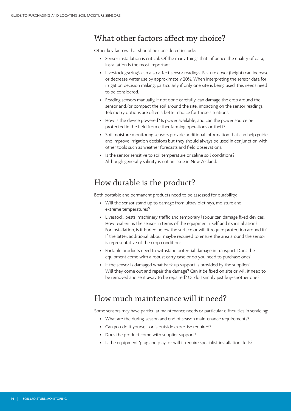## What other factors affect my choice?

Other key factors that should be considered include:

- Sensor installation is critical. Of the many things that influence the quality of data, installation is the most important.
- Livestock grazing's can also affect sensor readings. Pasture cover (height) can increase or decrease water use by approximately 20%. When interpreting the sensor data for irrigation decision making, particularly if only one site is being used, this needs need to be considered.
- Reading sensors manually, if not done carefully, can damage the crop around the sensor and/or compact the soil around the site, impacting on the sensor readings. Telemetry options are often a better choice for these situations.
- How is the device powered? Is power available, and can the power source be protected in the field from either farming operations or theft?
- Soil moisture monitoring sensors provide additional information that can help guide and improve irrigation decisions but they should always be used in conjunction with other tools such as weather forecasts and field observations.
- Is the sensor sensitive to soil temperature or saline soil conditions? Although generally salinity is not an issue in New Zealand.

## How durable is the product?

Both portable and permanent products need to be assessed for durability:

- Will the sensor stand up to damage from ultraviolet rays, moisture and extreme temperatures?
- Livestock, pests, machinery traffic and temporary labour can damage fixed devices. How resilient is the sensor in terms of the equipment itself and its installation? For installation, is it buried below the surface or will it require protection around it? If the latter, additional labour maybe required to ensure the area around the sensor is representative of the crop conditions.
- Portable products need to withstand potential damage in transport. Does the equipment come with a robust carry case or do you need to purchase one?
- If the sensor is damaged what back up support is provided by the supplier? Will they come out and repair the damage? Can it be fixed on site or will it need to be removed and sent away to be repaired? Or do I simply just buy-another one?

## How much maintenance will it need?

Some sensors may have particular maintenance needs or particular difficulties in servicing:

- What are the during-season and end of season maintenance requirements?
- Can you do it yourself or is outside expertise required?
- Does the product come with supplier support?
- Is the equipment 'plug and play' or will it require specialist installation skills?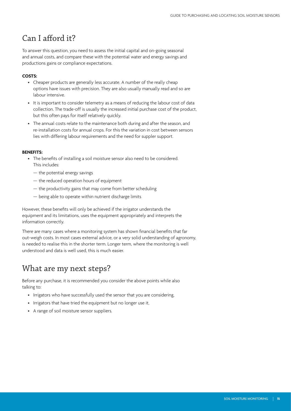## Can I afford it?

To answer this question, you need to assess the initial capital and on-going seasonal and annual costs, and compare these with the potential water and energy savings and productions gains or compliance expectations.

#### **COSTS:**

- Cheaper products are generally less accurate. A number of the really cheap options have issues with precision. They are also usually manually read and so are labour intensive.
- It is important to consider telemetry as a means of reducing the labour cost of data collection. The trade-off is usually the increased initial purchase cost of the product, but this often pays for itself relatively quickly.
- The annual costs relate to the maintenance both during and after the season, and re-installation costs for annual crops. For this the variation in cost between sensors lies with differing labour requirements and the need for suppler support.

#### **BENEFITS:**

- The benefits of installing a soil moisture sensor also need to be considered. This includes:
	- the potential energy savings
	- the reduced operation hours of equipment
	- the productivity gains that may come from better scheduling
	- being able to operate within nutrient discharge limits

However, these benefits will only be achieved if the irrigator understands the equipment and its limitations, uses the equipment appropriately and interprets the information correctly.

There are many cases where a monitoring system has shown financial benefits that far out-weigh costs. In most cases external advice, or a very solid understanding of agronomy, is needed to realise this in the shorter term. Longer term, where the monitoring is well understood and data is well used, this is much easier.

## What are my next steps?

Before any purchase, it is recommended you consider the above points while also talking to:

- Irrigators who have successfully used the sensor that you are considering,
- Irrigators that have tried the equipment but no longer use it,
- A range of soil moisture sensor suppliers.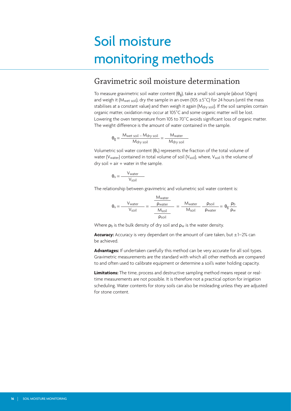## Soil moisture monitoring methods

### Gravimetric soil moisture determination

To measure gravimetric soil water content  $(\theta_g)$ , take a small soil sample (about 50gm) and weigh it (M<sub>wet soil</sub>), dry the sample in an oven (105  $\pm$  5<sup>°</sup>C) for 24 hours (until the mass stabilises at a constant value) and then weigh it again (M<sub>dry soil</sub>). If the soil samples contain organic matter, oxidation may occur at 105˚C and some organic matter will be lost. Lowering the oven temperature from 105 to 70˚C avoids significant loss of organic matter. The weight difference is the amount of water contained in the sample.

$$
\theta_g = \frac{M_{wet soil} - M_{dry soil}}{M_{dry soil}} = \frac{M_{water}}{M_{dry soil}}
$$

Volumetric soil water content  $(\theta_v)$  represents the fraction of the total volume of water (V<sub>water</sub>) contained in total volume of soil (V<sub>soil</sub>), where, V<sub>soil</sub> is the volume of  $dry$  soil  $+$  air  $+$  water in the sample.

$$
\theta_v = \frac{V_{water}}{V_{soil}}
$$

The relationship between gravimetric and volumetric soil water content is:

$$
\theta_v = \frac{V_{water}}{V_{soil}} = \frac{\frac{M_{water}}{p_{wait}}}{\frac{M_{soil}}{p_{soil}}} = \frac{M_{water}}{M_{soil}} - \frac{p_{soil}}{p_{water}} = \theta_g \frac{p_b}{p_w}
$$

Where  $p_b$  is the bulk density of dry soil and  $p_w$  is the water density.

Accuracy: Accuracy is very dependant on the amount of care taken, but ±1-2% can be achieved.

**Advantages:** If undertaken carefully this method can be very accurate for all soil types. Gravimetric measurements are the standard with which all other methods are compared to and often used to calibrate equipment or determine a soil's water holding capacity.

**Limitations:** The time, process and destructive sampling method means repeat or realtime measurements are not possible. It is therefore not a practical option for irrigation scheduling. Water contents for stony soils can also be misleading unless they are adjusted for stone content.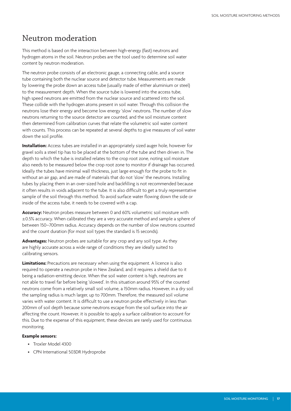### Neutron moderation

This method is based on the interaction between high-energy (fast) neutrons and hydrogen atoms in the soil. Neutron probes are the tool used to determine soil water content by neutron moderation.

The neutron probe consists of an electronic gauge, a connecting cable, and a source tube containing both the nuclear source and detector tube. Measurements are made by lowering the probe down an access tube (usually made of either aluminium or steel) to the measurement depth. When the source tube is lowered into the access tube, high speed neutrons are emitted from the nuclear source and scattered into the soil. These collide with the hydrogen atoms present in soil water. Through this collision the neutrons lose their energy and become low energy 'slow' neutrons. The number of slow neutrons returning to the source detector are counted, and the soil moisture content then determined from calibration curves that relate the volumetric soil water content with counts. This process can be repeated at several depths to give measures of soil water down the soil profile.

**Installation:** Access tubes are installed in an appropriately sized auger hole, however for gravel soils a steel tip has to be placed at the bottom of the tube and then driven in. The depth to which the tube is installed relates to the crop root zone, noting soil moisture also needs to be measured below the crop root zone to monitor if drainage has occurred. Ideally the tubes have minimal wall thickness, just large enough for the probe to fit in without an air gap, and are made of materials that do not 'slow' the neutrons. Installing tubes by placing them in an over-sized hole and backfilling is not recommended because it often results in voids adjacent to the tube. It is also difficult to get a truly representative sample of the soil through this method. To avoid surface water flowing down the side or inside of the access tube, it needs to be covered with a cap.

**Accuracy:** Neutron probes measure between 0 and 60% volumetric soil moisture with ±0.5% accuracy. When calibrated they are a very accurate method and sample a sphere of between 150–700mm radius. Accuracy depends on the number of slow neutrons counted and the count duration (for most soil types the standard is 15 seconds).

**Advantages:** Neutron probes are suitable for any crop and any soil type. As they are highly accurate across a wide range of conditions they are ideally suited to calibrating sensors.

**Limitations:** Precautions are necessary when using the equipment. A licence is also required to operate a neutron probe in New Zealand, and it requires a shield due to it being a radiation-emitting device. When the soil water content is high, neutrons are not able to travel far before being 'slowed'. In this situation around 95% of the counted neutrons come from a relatively small soil volume, a 150mm radius. However, in a dry soil the sampling radius is much larger, up to 700mm. Therefore, the measured soil volume varies with water content. It is difficult to use a neutron probe effectively in less than 200mm of soil depth because some neutrons escape from the soil surface into the air affecting the count. However, it is possible to apply a surface calibration to account for this. Due to the expense of this equipment, these devices are rarely used for continuous monitoring.

#### **Example sensors:**

- Troxler Model 4300
- CPN International 503DR Hydroprobe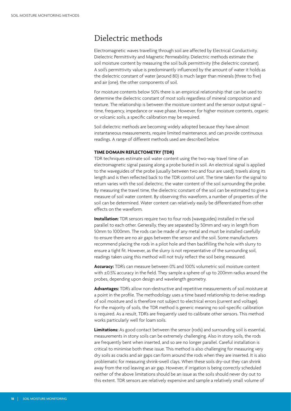## Dielectric methods

Electromagnetic waves travelling through soil are affected by Electrical Conductivity, Dielectric Permittivity and Magnetic Permeability. Dielectric methods estimate the soil moisture content by measuring the soil bulk permittivity (the dielectric constant). A soil's permittivity value is predominantly influenced by the amount of water it holds as the dielectric constant of water (around 80) is much larger than minerals (three to five) and air (one), the other components of soil.

For moisture contents below 50% there is an empirical relationship that can be used to determine the dielectric constant of most soils regardless of mineral composition and texture. The relationship is between the moisture content and the sensor output signal – time, frequency, impedance or wave phase. However, for higher moisture contents, organic or volcanic soils, a specific calibration may be required.

Soil dielectric methods are becoming widely adopted because they have almost instantaneous measurements, require limited maintenance, and can provide continuous readings. A range of different methods used are described below.

#### **TIME DOMAIN REFLECTOMETRY (TDR)**

TDR techniques estimate soil water content using the two-way travel time of an electromagnetic signal passing along a probe buried in soil. An electrical signal is applied to the waveguides of the probe (usually between two and four are used), travels along its length and is then reflected back to the TDR control unit. The time taken for the signal to return varies with the soil dielectric, the water content of the soil surrounding the probe. By measuring the travel time, the dielectric constant of the soil can be estimated to give a measure of soil water content. By observing this waveform, a number of properties of the soil can be determined. Water content can relatively easily be differentiated from other effects on the waveform.

**Installation:** TDR sensors require two to four rods (waveguides) installed in the soil parallel to each other. Generally, they are separated by 50mm and vary in length from 50mm to 1000mm. The rods can be made of any metal and must be installed carefully to ensure there are no air gaps between the sensor and the soil. Some manufacturers recommend placing the rods in a pilot hole and then backfilling the hole with slurry to ensure a tight fit. However, as the slurry is not representative of the surrounding soil, readings taken using this method will not truly reflect the soil being measured.

**Accuracy:** TDR's can measure between 0% and 100% volumetric soil moisture content with ±0.5% accuracy in the field. They sample a sphere of up to 200mm radius around the probes, depending upon design and wavelength geometry.

**Advantages:** TDR's allow non-destructive and repetitive measurements of soil moisture at a point in the profile. The methodology uses a time based relationship to derive readings of soil moisture and is therefore not subject to electrical errors (current and voltage). For the majority of soils, the TDR method is generic meaning no soil-specific calibration is required. As a result, TDR's are frequently used to calibrate other sensors. This method works particularly well for loam soils.

**Limitations:** As good contact between the sensor (rods) and surrounding soil is essential, measurements in stony soils can be extremely challenging. Also in stony soils, the rods are frequently bent when inserted, and so are no longer parallel. Careful installation is critical to minimise both these issue. This method is also challenging for measuring very dry soils as cracks and air gaps can form around the rods when they are inserted. It is also problematic for measuring shrink-swell clays. When these soils dry-out they can shrink away from the rod leaving an air gap. However, if irrigation is being correctly scheduled neither of the above limitations should be an issue as the soils should never dry out to this extent. TDR sensors are relatively expensive and sample a relatively small volume of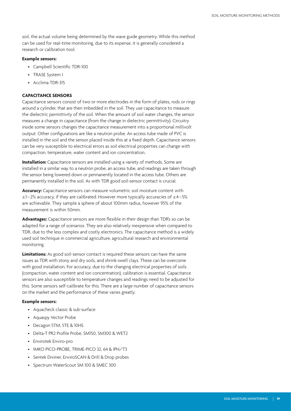soil, the actual volume being determined by the wave guide geometry. While this method can be used for real-time monitoring, due to its expense, it is generally considered a research or calibration tool.

#### **Example sensors:**

- Campbell Scientific TDR-100
- TRASE System I
- Acclima TDR-315

#### **CAPACITANCE SENSORS**

Capacitance sensors consist of two or more electrodes in the form of plates, rods or rings around a cylinder, that are then imbedded in the soil. They use capacitance to measure the dielectric permittivity of the soil. When the amount of soil water changes, the sensor measures a change in capacitance (from the change in dielectric permittivity). Circuitry inside some sensors changes the capacitance measurement into a proportional millivolt output. Other configurations are like a neutron probe. An access tube made of PVC is installed in the soil and the sensor placed inside this at a fixed depth. Capacitance sensors can be very susceptible to electrical errors as soil electrical properties can change with compaction, temperature, water content and ion concentration.

**Installation:** Capacitance sensors are installed using a variety of methods. Some are installed in a similar way to a neutron probe, an access tube, and readings are taken through the sensor being lowered down or permanently located in the access tube. Others are permanently installed in the soil. As with TDR good soil-sensor contact is crucial.

**Accuracy:** Capacitance sensors can measure volumetric soil moisture content with  $\pm$ 1–2% accuracy, if they are calibrated. However more typically accuracies of  $\pm$ 4–5% are achievable. They sample a sphere of about 100mm radius, however 95% of the measurement is within 50mm.

**Advantages:** Capacitance sensors are more flexible in their design than TDR's so can be adapted for a range of scenarios. They are also relatively inexpensive when compared to TDR, due to the less complex and costly electronics. The capacitance method is a widely used soil technique in commercial agriculture, agricultural research and environmental monitoring.

**Limitations:** As good soil-sensor contact is required these sensors can have the same issues as TDR with stony and dry soils, and shrink-swell clays. These can be overcome with good installation. For accuracy, due to the changing electrical properties of soils (compaction, water content and ion concentration), calibration is essential. Capacitance sensors are also susceptible to temperature changes and readings need to be adjusted for this. Some sensors self-calibrate for this. There are a large number of capacitance sensors on the market and the performance of these varies greatly.

#### **Example sensors:**

- Aquacheck classic & sub-surface
- Aquaspy Vector Probe
- Decagon 5TM, 5TE & 10HS
- Delta-T PR2 Profile Probe, SM150, SM300 & WET2
- Envirotek Enviro-pro
- IMKO PICO-PROBE, TRIME-PICO 32, 64 & IPH/T3
- Sentek Diviner, EnviroSCAN & Drill & Drop probes
- Spectrum WaterScout SM 100 & SMEC 300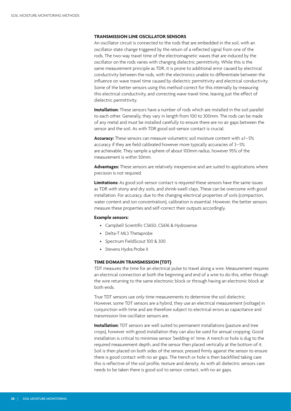#### **TRANSMISSION LINE OSCILLATOR SENSORS**

An oscillator circuit is connected to the rods that are embedded in the soil, with an oscillator state change triggered by the return of a reflected signal from one of the rods. The two-way travel time of the electromagnetic waves that are induced by the oscillator on the rods varies with changing dielectric permittivity. While this is the same measurement principle as TDR, it is prone to additional error caused by electrical conductivity between the rods, with the electronics unable to differentiate between the influence on wave travel time caused by dielectric permittivity and electrical conductivity. Some of the better sensors using this method correct for this internally by measuring this electrical conductivity, and correcting wave travel time, leaving just the effect of dielectric permittivity.

**Installation:** These sensors have a number of rods which are installed in the soil parallel to each other. Generally, they vary in length from 100 to 300mm. The rods can be made of any metal and must be installed carefully to ensure there are no air gaps between the sensor and the soil. As with TDR good soil-sensor contact is crucial.

**Accuracy:** These sensors can measure volumetric soil moisture content with ±1–5% accuracy if they are field calibrated however more typically accuracies of 3–5% are achievable. They sample a sphere of about 100mm radius, however 95% of the measurement is within 50mm.

**Advantages:** These sensors are relatively inexpensive and are suited to applications where precision is not required.

**Limitations:** As good soil-sensor contact is required these sensors have the same issues as TDR with stony and dry soils, and shrink-swell clays. These can be overcome with good installation. For accuracy, due to the changing electrical properties of soils (compaction, water content and ion concentration), calibration is essential. However, the better sensors measure these properties and self-correct their outputs accordingly.

#### **Example sensors:**

- Campbell Scientific CS650, CS616 & Hydrosense
- Delta-T ML3 Thetaprobe
- Spectrum FieldScout 100 & 300
- Stevens Hydra Probe II

#### **TIME DOMAIN TRANSMISSION (TDT)**

TDT measures the time for an electrical pulse to travel along a wire. Measurement requires an electrical connection at both the beginning and end of a wire to do this, either through the wire returning to the same electronic block or through having an electronic block at both ends.

True TDT sensors use only time measurements to determine the soil dielectric. However, some TDT sensors are a hybrid, they use an electrical measurement (voltage) in conjunction with time and are therefore subject to electrical errors as capacitance and transmission line oscillator sensors are.

**Installation:** TDT sensors are well suited to permanent installations (pasture and tree crops), however with good installation they can also be used for annual cropping. Good installation is critical to minimise sensor 'bedding-in' time. A trench or hole is dug to the required measurement depth, and the sensor then placed vertically at the bottom of it. Soil is then placed on both sides of the sensor, pressed firmly against the sensor to ensure there is good contact with no air gaps. The trench or hole is then backfilled taking care this is reflective of the soil profile, texture and density. As with all dielectric sensors care needs to be taken there is good soil to sensor contact, with no air gaps.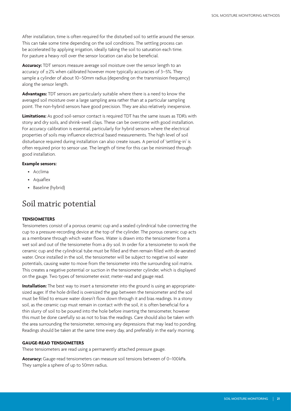After installation, time is often required for the disturbed soil to settle around the sensor. This can take some time depending on the soil conditions. The settling process can be accelerated by applying irrigation, ideally taking the soil to saturation each time. For pasture a heavy roll over the sensor location can also be beneficial.

**Accuracy:** TDT sensors measure average soil moisture over the sensor length to an accuracy of  $\pm 2$ % when calibrated however more typically accuracies of 3–5%. They sample a cylinder of about 10–50mm radius (depending on the transmission frequency) along the sensor length.

**Advantages:** TDT sensors are particularly suitable where there is a need to know the averaged soil moisture over a large sampling area rather than at a particular sampling point. The non-hybrid sensors have good precision. They are also relatively inexpensive.

**Limitations:** As good soil-sensor contact is required TDT has the same issues as TDR's with stony and dry soils, and shrink-swell clays. These can be overcome with good installation. For accuracy calibration is essential, particularly for hybrid sensors where the electrical properties of soils may influence electrical based measurements. The high level of soil disturbance required during installation can also create issues. A period of 'settling-in' is often required prior to sensor use. The length of time for this can be minimised through good installation.

#### **Example sensors:**

- Acclima
- Aquaflex
- Baseline (hybrid)

## Soil matric potential

#### **TENSIOMETERS**

Tensiometers consist of a porous ceramic cup and a sealed cylindrical tube connecting the cup to a pressure-recording device at the top of the cylinder. The porous ceramic cup acts as a membrane through which water flows. Water is drawn into the tensiometer from a wet soil and out of the tensiometer from a dry soil. In order for a tensiometer to work the ceramic cup and the cylindrical tube must be filled and then remain filled with de-aerated water. Once installed in the soil, the tensiometer will be subject to negative soil water potentials, causing water to move from the tensiometer into the surrounding soil matrix. This creates a negative potential or suction in the tensiometer cylinder, which is displayed on the gauge. Two types of tensiometer exist; meter-read and gauge read.

**Installation:** The best way to insert a tensiometer into the ground is using an appropriatesized auger. If the hole drilled is oversized the gap between the tensiometer and the soil must be filled to ensure water doesn't flow down through it and bias readings. In a stony soil, as the ceramic cup must remain in contact with the soil, it is often beneficial for a thin slurry of soil to be poured into the hole before inserting the tensiometer, however this must be done carefully so as not to bias the readings. Care should also be taken with the area surrounding the tensiometer, removing any depressions that may lead to ponding. Readings should be taken at the same time every day, and preferably in the early morning.

#### **GAUGE-READ TENSIOMETERS**

These tensiometers are read using a permanently attached pressure gauge.

Accuracy: Gauge-read tensiometers can measure soil tensions between of 0-100kPa. They sample a sphere of up to 50mm radius.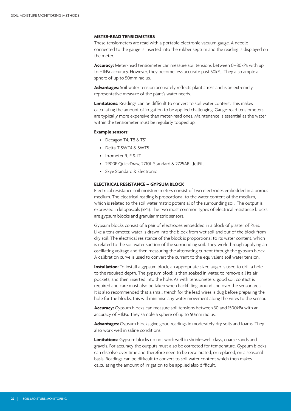#### **METER-READ TENSIOMETERS**

These tensiometers are read with a portable electronic vacuum gauge. A needle connected to the gauge is inserted into the rubber septum and the reading is displayed on the meter.

**Accuracy:** Meter-read tensiometer can measure soil tensions between 0–80kPa with up to ±1kPa accuracy. However, they become less accurate past 50kPa. They also ample a sphere of up to 50mm radius.

**Advantages:** Soil water tension accurately reflects plant stress and is an extremely representative measure of the plant's water needs.

**Limitations:** Readings can be difficult to convert to soil water content. This makes calculating the amount of irrigation to be applied challenging. Gauge-read tensiometers are typically more expensive than meter-read ones. Maintenance is essential as the water within the tensiometer must be regularly topped up.

#### **Example sensors:**

- Decagon T4, T8 & TS1
- Delta-T SWT4 & SWT5
- Irrometer R, P & LT
- 2900F QuickDraw, 2710L Standard & 2725ARL JetFill
- Skye Standard & Electronic

#### **ELECTRICAL RESISTANCE – GYPSUM BLOCK**

Electrical resistance soil moisture meters consist of two electrodes embedded in a porous medium. The electrical reading is proportional to the water content of the medium, which is related to the soil water matric potential of the surrounding soil. The output is expressed in kilopascals (kPa). The two most common types of electrical resistance blocks are gypsum blocks and granular matrix sensors.

Gypsum blocks consist of a pair of electrodes embedded in a block of plaster of Paris. Like a tensiometer, water is drawn into the block from wet soil and out of the block from dry soil. The electrical resistance of the block is proportional to its water content, which is related to the soil water suction of the surrounding soil. They work through applying an oscillating voltage and then measuring the alternating current through the gypsum block. A calibration curve is used to convert the current to the equivalent soil water tension.

**Installation:** To install a gypsum block, an appropriate sized auger is used to drill a hole to the required depth. The gypsum block is then soaked in water, to remove all its air pockets, and then inserted into the hole. As with tensiometers, good soil contact is required and care must also be taken when backfilling around and over the sensor area. It is also recommended that a small trench for the lead wires is dug before preparing the hole for the blocks, this will minimise any water movement along the wires to the sensor.

**Accuracy:** Gypsum blocks can measure soil tensions between 30 and 1500kPa with an accuracy of ±1kPa. They sample a sphere of up to 50mm radius.

**Advantages:** Gypsum blocks give good readings in moderately dry soils and loams. They also work well in saline conditions.

**Limitations:** Gypsum blocks do not work well in shrink-swell clays, coarse sands and gravels. For accuracy the outputs must also be corrected for temperature. Gypsum blocks can dissolve over time and therefore need to be recalibrated, or replaced, on a seasonal basis. Readings can be difficult to convert to soil water content which then makes calculating the amount of irrigation to be applied also difficult.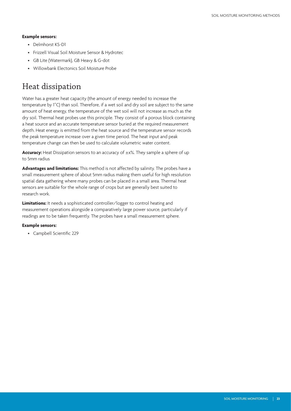#### **Example sensors:**

- Delmhorst KS-D1
- Frizzell Visual Soil Moisture Sensor & Hydrotec
- GB Lite (Watermark), GB Heavy & G-dot
- Willowbank Electonics Soil Moisture Probe

#### Heat dissipation

Water has a greater heat capacity (the amount of energy needed to increase the temperature by 1˚C) than soil. Therefore, if a wet soil and dry soil are subject to the same amount of heat energy, the temperature of the wet soil will not increase as much as the dry soil. Thermal heat probes use this principle. They consist of a porous block containing a heat source and an accurate temperature sensor buried at the required measurement depth. Heat energy is emitted from the heat source and the temperature sensor records the peak temperature increase over a given time period. The heat input and peak temperature change can then be used to calculate volumetric water content.

**Accuracy:** Heat Dissipation sensors to an accuracy of ±x%. They sample a sphere of up to 5mm radius

**Advantages and limitations:** This method is not affected by salinity. The probes have a small measurement sphere of about 5mm radius making them useful for high resolution spatial data gathering where many probes can be placed in a small area. Thermal heat sensors are suitable for the whole range of crops but are generally best suited to research work.

Limitations: It needs a sophisticated controller/logger to control heating and measurement operations alongside a comparatively large power source, particularly if readings are to be taken frequently. The probes have a small measurement sphere.

#### **Example sensors:**

• Campbell Scientific 229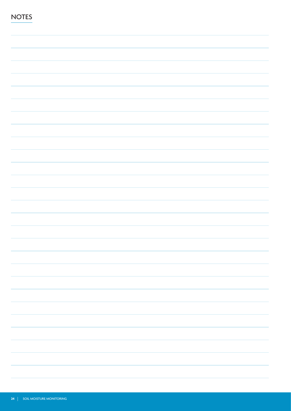| <b>NOTES</b> |  |
|--------------|--|
|              |  |
|              |  |
|              |  |
|              |  |
|              |  |
|              |  |
|              |  |
|              |  |
|              |  |
|              |  |
|              |  |
|              |  |
|              |  |
|              |  |
|              |  |
|              |  |
|              |  |
|              |  |
|              |  |
|              |  |
|              |  |
|              |  |
|              |  |
|              |  |
|              |  |
|              |  |
|              |  |
|              |  |
|              |  |
|              |  |
|              |  |
|              |  |
|              |  |
|              |  |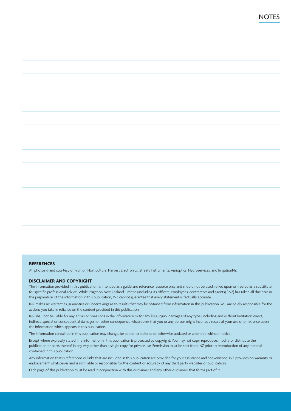#### **REFERENCES**

All photos © and courtesy of Fruition Horticulture, Harvest Electronics, Streats Instruments, Agrioptics, Hydroservices, and IrrigationNZ.

#### **DISCLAIMER AND COPYRIGHT**

The information provided in this publication is intended as a guide and reference resource only and should not be used, relied upon or treated as a substitute for specific professional advice. While Irrigation New Zealand Limited (including its officers, employees, contractors and agents) (INZ) has taken all due care in the preparation of the information in this publication, INZ cannot guarantee that every statement is factually accurate.

INZ makes no warranties, guaranties or undertakings as to results that may be obtained from information in this publication. You are solely responsible for the actions you take in reliance on the content provided in this publication.

INZ shall not be liable for any errors or omissions in the information or for any loss, injury, damages of any type (including and without limitation direct, indirect, special or consequential damages) or other consequence whatsoever that you or any person might incur as a result of your use of or reliance upon the information which appears in this publication.

The information contained in this publication may change, be added to, deleted or otherwise updated or amended without notice.

Except where expressly stated, the information in this publication is protected by copyright. You may not copy, reproduce, modify or distribute the publication or parts thereof in any way, other than a single copy for private use. Permission must be sort from INZ prior to reproduction of any material contained in this publication.

Any information that is referenced or links that are included in this publication are provided for your assistance and convenience. INZ provides no warranty or endorsement whatsoever and is not liable or responsible for the content or accuracy of any third party websites or publications.

Each page of this publication must be read in conjunction with this disclaimer and any other disclaimer that forms part of it.